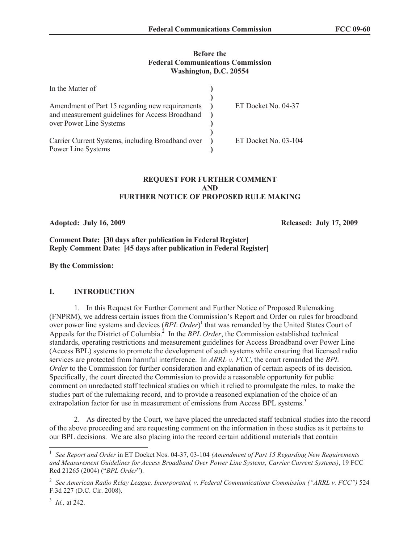#### **Before the Federal Communications Commission Washington, D.C. 20554**

| In the Matter of                                                                                                              |                      |
|-------------------------------------------------------------------------------------------------------------------------------|----------------------|
| Amendment of Part 15 regarding new requirements<br>and measurement guidelines for Access Broadband<br>over Power Line Systems | ET Docket No. 04-37  |
| Carrier Current Systems, including Broadband over<br>Power Line Systems                                                       | ET Docket No. 03-104 |

## **REQUEST FOR FURTHER COMMENT AND FURTHER NOTICE OF PROPOSED RULE MAKING**

**Adopted: July 16, 2009 Released: July 17, 2009** 

## **Comment Date: [30 days after publication in Federal Register] Reply Comment Date: [45 days after publication in Federal Register]**

**By the Commission:** 

## **I. INTRODUCTION**

1. In this Request for Further Comment and Further Notice of Proposed Rulemaking (FNPRM), we address certain issues from the Commission's Report and Order on rules for broadband over power line systems and devices (*BPL Order*)<sup>1</sup> that was remanded by the United States Court of Appeals for the District of Columbia.<sup>2</sup> In the *BPL Order*, the Commission established technical standards, operating restrictions and measurement guidelines for Access Broadband over Power Line (Access BPL) systems to promote the development of such systems while ensuring that licensed radio services are protected from harmful interference. In *ARRL v. FCC*, the court remanded the *BPL Order* to the Commission for further consideration and explanation of certain aspects of its decision. Specifically, the court directed the Commission to provide a reasonable opportunity for public comment on unredacted staff technical studies on which it relied to promulgate the rules, to make the studies part of the rulemaking record, and to provide a reasoned explanation of the choice of an extrapolation factor for use in measurement of emissions from Access BPL systems.<sup>3</sup>

2. As directed by the Court, we have placed the unredacted staff technical studies into the record of the above proceeding and are requesting comment on the information in those studies as it pertains to our BPL decisions. We are also placing into the record certain additional materials that contain

<sup>&</sup>lt;sup>1</sup> See Report and Order in ET Docket Nos. 04-37, 03-104 *(Amendment of Part 15 Regarding New Requirements and Measurement Guidelines for Access Broadband Over Power Line Systems, Carrier Current Systems)*, 19 FCC Rcd 21265 (2004) ("*BPL Order*").

<sup>2</sup> *See American Radio Relay League, Incorporated, v. Federal Communications Commission ("ARRL v. FCC")* 524 F.3d 227 (D.C. Cir. 2008).

<sup>3</sup> *Id.,* at 242.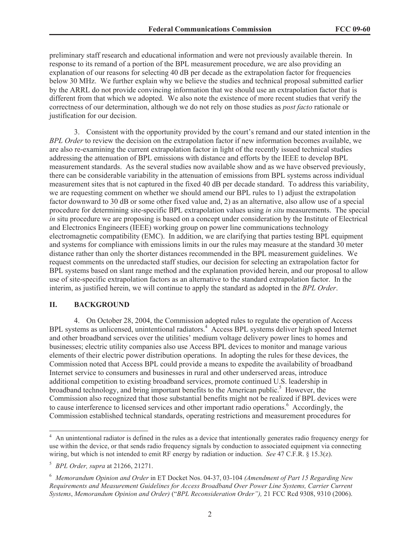preliminary staff research and educational information and were not previously available therein. In response to its remand of a portion of the BPL measurement procedure, we are also providing an explanation of our reasons for selecting 40 dB per decade as the extrapolation factor for frequencies below 30 MHz. We further explain why we believe the studies and technical proposal submitted earlier by the ARRL do not provide convincing information that we should use an extrapolation factor that is different from that which we adopted. We also note the existence of more recent studies that verify the correctness of our determination, although we do not rely on those studies as *post facto* rationale or justification for our decision.

3. Consistent with the opportunity provided by the court's remand and our stated intention in the *BPL Order* to review the decision on the extrapolation factor if new information becomes available, we are also re-examining the current extrapolation factor in light of the recently issued technical studies addressing the attenuation of BPL emissions with distance and efforts by the IEEE to develop BPL measurement standards. As the several studies now available show and as we have observed previously, there can be considerable variability in the attenuation of emissions from BPL systems across individual measurement sites that is not captured in the fixed 40 dB per decade standard. To address this variability, we are requesting comment on whether we should amend our BPL rules to 1) adjust the extrapolation factor downward to 30 dB or some other fixed value and, 2) as an alternative, also allow use of a special procedure for determining site-specific BPL extrapolation values using *in situ* measurements. The special *in* situ procedure we are proposing is based on a concept under consideration by the Institute of Electrical and Electronics Engineers (IEEE) working group on power line communications technology electromagnetic compatibility (EMC). In addition, we are clarifying that parties testing BPL equipment and systems for compliance with emissions limits in our the rules may measure at the standard 30 meter distance rather than only the shorter distances recommended in the BPL measurement guidelines. We request comments on the unredacted staff studies, our decision for selecting an extrapolation factor for BPL systems based on slant range method and the explanation provided herein, and our proposal to allow use of site-specific extrapolation factors as an alternative to the standard extrapolation factor. In the interim, as justified herein, we will continue to apply the standard as adopted in the *BPL Order*.

#### **II. BACKGROUND**

4. On October 28, 2004, the Commission adopted rules to regulate the operation of Access BPL systems as unlicensed, unintentional radiators.<sup>4</sup> Access BPL systems deliver high speed Internet and other broadband services over the utilities' medium voltage delivery power lines to homes and businesses; electric utility companies also use Access BPL devices to monitor and manage various elements of their electric power distribution operations. In adopting the rules for these devices, the Commission noted that Access BPL could provide a means to expedite the availability of broadband Internet service to consumers and businesses in rural and other underserved areas, introduce additional competition to existing broadband services, promote continued U.S. leadership in broadband technology, and bring important benefits to the American public.<sup>5</sup> However, the Commission also recognized that those substantial benefits might not be realized if BPL devices were to cause interference to licensed services and other important radio operations.<sup>6</sup> Accordingly, the Commission established technical standards, operating restrictions and measurement procedures for

<sup>&</sup>lt;sup>4</sup> An unintentional radiator is defined in the rules as a device that intentionally generates radio frequency energy for use within the device, or that sends radio frequency signals by conduction to associated equipment via connecting wiring, but which is not intended to emit RF energy by radiation or induction. *See* 47 C.F.R. § 15.3(z).

<sup>5</sup> *BPL Order, supra* at 21266, 21271.

<sup>6</sup> *Memorandum Opinion and Order* in ET Docket Nos. 04-37, 03-104 *(Amendment of Part 15 Regarding New Requirements and Measurement Guidelines for Access Broadband Over Power Line Systems, Carrier Current Systems*, *Memorandum Opinion and Order)* ("*BPL Reconsideration Order"),* 21 FCC Rcd 9308, 9310 (2006).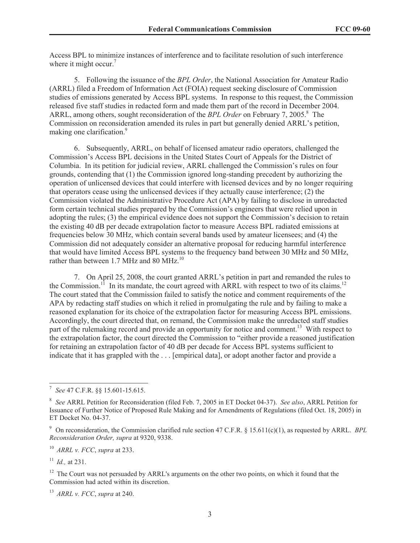Access BPL to minimize instances of interference and to facilitate resolution of such interference where it might occur.<sup>7</sup>

5. Following the issuance of the *BPL Order*, the National Association for Amateur Radio (ARRL) filed a Freedom of Information Act (FOIA) request seeking disclosure of Commission studies of emissions generated by Access BPL systems. In response to this request, the Commission released five staff studies in redacted form and made them part of the record in December 2004. ARRL, among others, sought reconsideration of the *BPL Order* on February 7, 2005.<sup>8</sup> The Commission on reconsideration amended its rules in part but generally denied ARRL's petition, making one clarification.<sup>9</sup>

6. Subsequently, ARRL, on behalf of licensed amateur radio operators, challenged the Commission's Access BPL decisions in the United States Court of Appeals for the District of Columbia. In its petition for judicial review, ARRL challenged the Commission's rules on four grounds, contending that (1) the Commission ignored long-standing precedent by authorizing the operation of unlicensed devices that could interfere with licensed devices and by no longer requiring that operators cease using the unlicensed devices if they actually cause interference; (2) the Commission violated the Administrative Procedure Act (APA) by failing to disclose in unredacted form certain technical studies prepared by the Commission's engineers that were relied upon in adopting the rules; (3) the empirical evidence does not support the Commission's decision to retain the existing 40 dB per decade extrapolation factor to measure Access BPL radiated emissions at frequencies below 30 MHz, which contain several bands used by amateur licensees; and (4) the Commission did not adequately consider an alternative proposal for reducing harmful interference that would have limited Access BPL systems to the frequency band between 30 MHz and 50 MHz, rather than between 1.7 MHz and 80 MHz.<sup>10</sup>

7. On April 25, 2008, the court granted ARRL's petition in part and remanded the rules to the Commission.<sup>11</sup> In its mandate, the court agreed with ARRL with respect to two of its claims.<sup>12</sup> The court stated that the Commission failed to satisfy the notice and comment requirements of the APA by redacting staff studies on which it relied in promulgating the rule and by failing to make a reasoned explanation for its choice of the extrapolation factor for measuring Access BPL emissions. Accordingly, the court directed that, on remand, the Commission make the unredacted staff studies part of the rulemaking record and provide an opportunity for notice and comment.<sup>13</sup> With respect to the extrapolation factor, the court directed the Commission to "either provide a reasoned justification for retaining an extrapolation factor of 40 dB per decade for Access BPL systems sufficient to indicate that it has grappled with the . . . [empirical data], or adopt another factor and provide a

<sup>10</sup> *ARRL v. FCC*, *supra* at 233.

<sup>11</sup> *Id.,* at 231.

 $12$  The Court was not persuaded by ARRL's arguments on the other two points, on which it found that the Commission had acted within its discretion.

<sup>13</sup> *ARRL v. FCC*, *supra* at 240.

<sup>7</sup> *See* 47 C.F.R. §§ 15.601-15.615.

<sup>8</sup> *See* ARRL Petition for Reconsideration (filed Feb. 7, 2005 in ET Docket 04-37). *See also*, ARRL Petition for Issuance of Further Notice of Proposed Rule Making and for Amendments of Regulations (filed Oct. 18, 2005) in ET Docket No. 04-37.

<sup>9</sup> On reconsideration, the Commission clarified rule section 47 C.F.R. § 15.611(c)(1), as requested by ARRL. *BPL Reconsideration Order, supra* at 9320, 9338.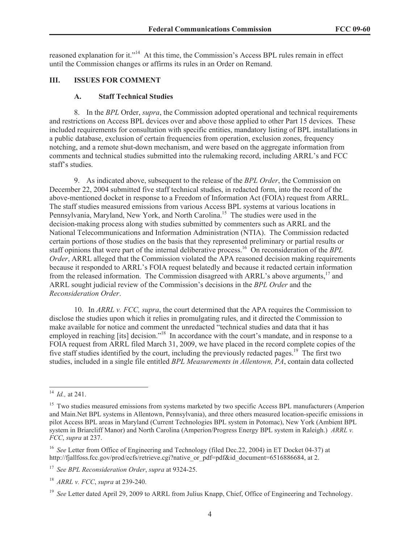reasoned explanation for it."<sup>14</sup> At this time, the Commission's Access BPL rules remain in effect until the Commission changes or affirms its rules in an Order on Remand.

#### **III. ISSUES FOR COMMENT**

#### **A. Staff Technical Studies**

8. In the *BPL* Order, *supra*, the Commission adopted operational and technical requirements and restrictions on Access BPL devices over and above those applied to other Part 15 devices. These included requirements for consultation with specific entities, mandatory listing of BPL installations in a public database, exclusion of certain frequencies from operation, exclusion zones, frequency notching, and a remote shut-down mechanism, and were based on the aggregate information from comments and technical studies submitted into the rulemaking record, including ARRL's and FCC staff's studies.

9. As indicated above, subsequent to the release of the *BPL Order*, the Commission on December 22, 2004 submitted five staff technical studies, in redacted form, into the record of the above-mentioned docket in response to a Freedom of Information Act (FOIA) request from ARRL. The staff studies measured emissions from various Access BPL systems at various locations in Pennsylvania, Maryland, New York, and North Carolina.<sup>15</sup> The studies were used in the decision-making process along with studies submitted by commenters such as ARRL and the National Telecommunications and Information Administration (NTIA). The Commission redacted certain portions of those studies on the basis that they represented preliminary or partial results or staff opinions that were part of the internal deliberative process.<sup>16</sup> On reconsideration of the *BPL Order*, ARRL alleged that the Commission violated the APA reasoned decision making requirements because it responded to ARRL's FOIA request belatedly and because it redacted certain information from the released information. The Commission disagreed with ARRL's above arguments,<sup>17</sup> and ARRL sought judicial review of the Commission's decisions in the *BPL Order* and the *Reconsideration Order*.

10. In *ARRL v. FCC, supra*, the court determined that the APA requires the Commission to disclose the studies upon which it relies in promulgating rules, and it directed the Commission to make available for notice and comment the unredacted "technical studies and data that it has employed in reaching [its] decision."<sup>18</sup> In accordance with the court's mandate, and in response to a FOIA request from ARRL filed March 31, 2009, we have placed in the record complete copies of the five staff studies identified by the court, including the previously redacted pages.<sup>19</sup> The first two studies, included in a single file entitled *BPL Measurements in Allentown, PA*, contain data collected

<sup>14</sup> *Id.,* at 241.

<sup>&</sup>lt;sup>15</sup> Two studies measured emissions from systems marketed by two specific Access BPL manufacturers (Amperion and Main.Net BPL systems in Allentown, Pennsylvania), and three others measured location-specific emissions in pilot Access BPL areas in Maryland (Current Technologies BPL system in Potomac), New York (Ambient BPL system in Briarcliff Manor) and North Carolina (Amperion/Progress Energy BPL system in Raleigh.) *ARRL v. FCC*, *supra* at 237.

<sup>16</sup> *See* Letter from Office of Engineering and Technology (filed Dec.22, 2004) in ET Docket 04-37) at http://fjallfoss.fcc.gov/prod/ecfs/retrieve.cgi?native\_or\_pdf=pdf&id\_document=6516886684, at 2.

<sup>17</sup> *See BPL Reconsideration Order*, *supra* at 9324-25.

<sup>18</sup> *ARRL v. FCC*, *supra* at 239-240.

<sup>&</sup>lt;sup>19</sup> *See* Letter dated April 29, 2009 to ARRL from Julius Knapp, Chief, Office of Engineering and Technology.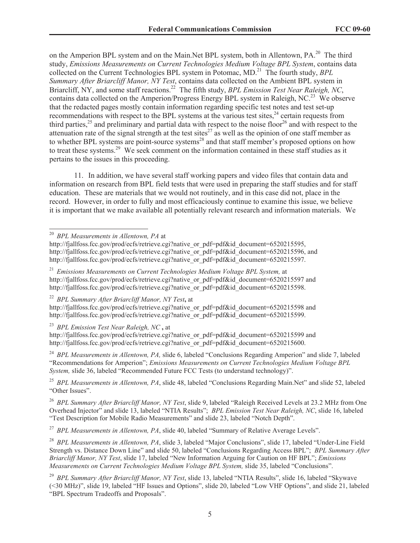on the Amperion BPL system and on the Main.Net BPL system, both in Allentown, PA.<sup>20</sup> The third study, *Emissions Measurements on Current Technologies Medium Voltage BPL System*, contains data collected on the Current Technologies BPL system in Potomac, MD.<sup>21</sup> The fourth study, *BPL Summary After Briarcliff Manor, NY Test*, contains data collected on the Ambient BPL system in Briarcliff, NY, and some staff reactions.<sup>22</sup> The fifth study, *BPL Emission Test Near Raleigh, NC*, contains data collected on the Amperion/Progress Energy BPL system in Raleigh, NC.<sup>23</sup> We observe that the redacted pages mostly contain information regarding specific test notes and test set-up recommendations with respect to the BPL systems at the various test sites,<sup>24</sup> certain requests from third parties,<sup>25</sup> and preliminary and partial data with respect to the noise floor<sup>26</sup> and with respect to the attenuation rate of the signal strength at the test sites $^{27}$  as well as the opinion of one staff member as to whether BPL systems are point-source systems<sup>28</sup> and that staff member's proposed options on how to treat these systems.<sup>29</sup> We seek comment on the information contained in these staff studies as it pertains to the issues in this proceeding.

11. In addition, we have several staff working papers and video files that contain data and information on research from BPL field tests that were used in preparing the staff studies and for staff education. These are materials that we would not routinely, and in this case did not, place in the record. However, in order to fully and most efficaciously continue to examine this issue, we believe it is important that we make available all potentially relevant research and information materials. We

<sup>20</sup> *BPL Measurements in Allentown, PA* at

<sup>21</sup> *Emissions Measurements on Current Technologies Medium Voltage BPL System,* at http://fjallfoss.fcc.gov/prod/ecfs/retrieve.cgi?native\_or\_pdf=pdf&id\_document=6520215597 and http://fjallfoss.fcc.gov/prod/ecfs/retrieve.cgi?native\_or\_pdf=pdf&id\_document=6520215598.

<sup>22</sup> *BPL Summary After Briarcliff Manor, NY Test***,** at

http://fjallfoss.fcc.gov/prod/ecfs/retrieve.cgi?native\_or\_pdf=pdf&id\_document=6520215598 and http://fiallfoss.fcc.gov/prod/ecfs/retrieve.cgi?native\_or\_pdf=pdf&id\_document=6520215599.

<sup>23</sup> *BPL Emission Test Near Raleigh, NC* **,** at

http://fjallfoss.fcc.gov/prod/ecfs/retrieve.cgi?native\_or\_pdf=pdf&id\_document=6520215599 and http://fjallfoss.fcc.gov/prod/ecfs/retrieve.cgi?native\_or\_pdf=pdf&id\_document=6520215600.

<sup>24</sup> BPL Measurements in Allentown, PA, slide 6, labeled "Conclusions Regarding Amperion" and slide 7, labeled "Recommendations for Amperion"; *Emissions Measurements on Current Technologies Medium Voltage BPL System,* slide 36, labeled "Recommended Future FCC Tests (to understand technology)".

<sup>25</sup> BPL Measurements in Allentown, PA, slide 48, labeled "Conclusions Regarding Main.Net" and slide 52, labeled "Other Issues".

<sup>26</sup> *BPL Summary After Briarcliff Manor, NY Test*, slide 9, labeled "Raleigh Received Levels at 23.2 MHz from One Overhead Injector" and slide 13, labeled "NTIA Results"; *BPL Emission Test Near Raleigh, NC*, slide 16, labeled "Test Description for Mobile Radio Measurements" and slide 23, labeled "Notch Depth".

<sup>27</sup> *BPL Measurements in Allentown, PA*, slide 40, labeled "Summary of Relative Average Levels".

<sup>28</sup> *BPL Measurements in Allentown, PA*, slide 3, labeled "Major Conclusions", slide 17, labeled "Under-Line Field Strength vs. Distance Down Line" and slide 50, labeled "Conclusions Regarding Access BPL"; *BPL Summary After Briarcliff Manor, NY Test*, slide 17, labeled "New Information Arguing for Caution on HF BPL"; *Emissions Measurements on Current Technologies Medium Voltage BPL System,* slide 35, labeled "Conclusions".

<sup>29</sup> *BPL Summary After Briarcliff Manor, NY Test*, slide 13, labeled "NTIA Results", slide 16, labeled "Skywave (<30 MHz)", slide 19, labeled "HF Issues and Options", slide 20, labeled "Low VHF Options", and slide 21, labeled "BPL Spectrum Tradeoffs and Proposals".

http://fjallfoss.fcc.gov/prod/ecfs/retrieve.cgi?native\_or\_pdf=pdf&id\_document=6520215595, http://fjallfoss.fcc.gov/prod/ecfs/retrieve.cgi?native\_or\_pdf=pdf&id\_document=6520215596, and http://fiallfoss.fcc.gov/prod/ecfs/retrieve.cgi?native\_or\_pdf=pdf&id\_document=6520215597.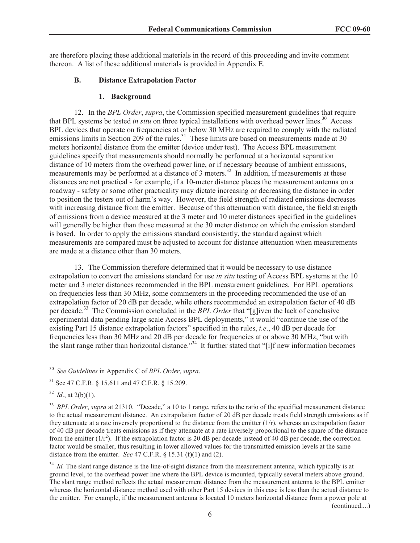are therefore placing these additional materials in the record of this proceeding and invite comment thereon. A list of these additional materials is provided in Appendix E.

#### **B. Distance Extrapolation Factor**

#### **1. Background**

12. In the *BPL Order*, *supra*, the Commission specified measurement guidelines that require that BPL systems be tested *in situ* on three typical installations with overhead power lines.<sup>30</sup> Access BPL devices that operate on frequencies at or below 30 MHz are required to comply with the radiated  $\frac{1}{2}$  at the rules that operate on neglecteries at of sector 30 mm<sub>z</sub> are required to comply what the radial emissions limits in Section 209 of the rules.<sup>31</sup> These limits are based on measurements made at 30 meters horizontal distance from the emitter (device under test). The Access BPL measurement guidelines specify that measurements should normally be performed at a horizontal separation distance of 10 meters from the overhead power line, or if necessary because of ambient emissions, measurements may be performed at a distance of 3 meters.<sup>32</sup> In addition, if measurements at these distances are not practical - for example, if a 10-meter distance places the measurement antenna on a roadway - safety or some other practicality may dictate increasing or decreasing the distance in order to position the testers out of harm's way. However, the field strength of radiated emissions decreases with increasing distance from the emitter. Because of this attenuation with distance, the field strength of emissions from a device measured at the 3 meter and 10 meter distances specified in the guidelines will generally be higher than those measured at the 30 meter distance on which the emission standard is based. In order to apply the emissions standard consistently, the standard against which measurements are compared must be adjusted to account for distance attenuation when measurements are made at a distance other than 30 meters.

13. The Commission therefore determined that it would be necessary to use distance extrapolation to convert the emissions standard for use *in situ* testing of Access BPL systems at the 10 meter and 3 meter distances recommended in the BPL measurement guidelines. For BPL operations on frequencies less than 30 MHz, some commenters in the proceeding recommended the use of an extrapolation factor of 20 dB per decade, while others recommended an extrapolation factor of 40 dB per decade.<sup>33</sup> The Commission concluded in the *BPL Order* that "[g]iven the lack of conclusive experimental data pending large scale Access BPL deployments," it would "continue the use of the existing Part 15 distance extrapolation factors" specified in the rules, *i.e*., 40 dB per decade for frequencies less than 30 MHz and 20 dB per decade for frequencies at or above 30 MHz, "but with the slant range rather than horizontal distance."<sup>34</sup> It further stated that "[i]f new information becomes

<sup>34</sup> *Id.* The slant range distance is the line-of-sight distance from the measurement antenna, which typically is at ground level, to the overhead power line where the BPL device is mounted, typically several meters above ground. The slant range method reflects the actual measurement distance from the measurement antenna to the BPL emitter whereas the horizontal distance method used with other Part 15 devices in this case is less than the actual distance to the emitter. For example, if the measurement antenna is located 10 meters horizontal distance from a power pole at (continued....)

6

<sup>30</sup> *See Guidelines* in Appendix C of *BPL Order*, *supra*.

<sup>31</sup> See 47 C.F.R. § 15.611 and 47 C.F.R. § 15.209.

 $32$  *Id.*, at 2(b)(1).

<sup>33</sup> *BPL Order*, *supra* at 21310. "Decade," a 10 to 1 range, refers to the ratio of the specified measurement distance to the actual measurement distance. An extrapolation factor of 20 dB per decade treats field strength emissions as if they attenuate at a rate inversely proportional to the distance from the emitter (1/r), whereas an extrapolation factor of 40 dB per decade treats emissions as if they attenuate at a rate inversely proportional to the square of the distance from the emitter  $(1/r^2)$ . If the extrapolation factor is 20 dB per decade instead of 40 dB per decade, the correction factor would be smaller, thus resulting in lower allowed values for the transmitted emission levels at the same distance from the emitter. *See* 47 C.F.R. § 15.31 (f)(1) and (2).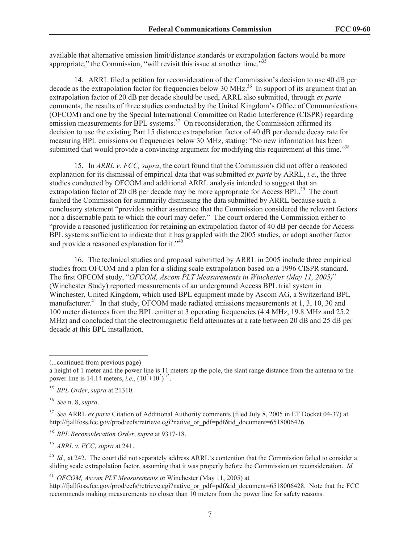available that alternative emission limit/distance standards or extrapolation factors would be more appropriate," the Commission, "will revisit this issue at another time."<sup>35</sup>

14. ARRL filed a petition for reconsideration of the Commission's decision to use 40 dB per decade as the extrapolation factor for frequencies below 30 MHz.<sup>36</sup> In support of its argument that an extrapolation factor of 20 dB per decade should be used, ARRL also submitted, through *ex parte*  comments, the results of three studies conducted by the United Kingdom's Office of Communications (OFCOM) and one by the Special International Committee on Radio Interference (CISPR) regarding emission measurements for BPL systems.<sup>37</sup> On reconsideration, the Commission affirmed its decision to use the existing Part 15 distance extrapolation factor of 40 dB per decade decay rate for measuring BPL emissions on frequencies below 30 MHz, stating: "No new information has been submitted that would provide a convincing argument for modifying this requirement at this time."<sup>38</sup>

15. In *ARRL v. FCC, supra*, the court found that the Commission did not offer a reasoned explanation for its dismissal of empirical data that was submitted *ex parte* by ARRL, *i.e*., the three studies conducted by OFCOM and additional ARRL analysis intended to suggest that an extrapolation factor of 20 dB per decade may be more appropriate for Access BPL. $^{39}$  The court faulted the Commission for summarily dismissing the data submitted by ARRL because such a conclusory statement "provides neither assurance that the Commission considered the relevant factors nor a discernable path to which the court may defer." The court ordered the Commission either to "provide a reasoned justification for retaining an extrapolation factor of 40 dB per decade for Access BPL systems sufficient to indicate that it has grappled with the 2005 studies, or adopt another factor and provide a reasoned explanation for it."<sup>40</sup>

16. The technical studies and proposal submitted by ARRL in 2005 include three empirical studies from OFCOM and a plan for a sliding scale extrapolation based on a 1996 CISPR standard. The first OFCOM study, "*OFCOM, Ascom PLT Measurements in Winchester (May 11, 2005)*" (Winchester Study) reported measurements of an underground Access BPL trial system in Winchester, United Kingdom, which used BPL equipment made by Ascom AG, a Switzerland BPL manufacturer.<sup>41</sup> In that study, OFCOM made radiated emissions measurements at 1, 3, 10, 30 and 100 meter distances from the BPL emitter at 3 operating frequencies (4.4 MHz, 19.8 MHz and 25.2 MHz) and concluded that the electromagnetic field attenuates at a rate between 20 dB and 25 dB per decade at this BPL installation.

<sup>39</sup> *ARRL v. FCC*, *supra* at 241.

<sup>41</sup> *OFCOM, Ascom PLT Measurements in* Winchester (May 11, 2005) at

http://fjallfoss.fcc.gov/prod/ecfs/retrieve.cgi?native\_or\_pdf=pdf&id\_document=6518006428. Note that the FCC recommends making measurements no closer than 10 meters from the power line for safety reasons.

<sup>(...</sup>continued from previous page)

a height of 1 meter and the power line is 11 meters up the pole, the slant range distance from the antenna to the power line is 14.14 meters, *i.e.*,  $(10^2+10^2)^{1/2}$ .

<sup>35</sup> *BPL Order*, *supra* at 21310.

<sup>36</sup> *See* n. 8, *supra*.

<sup>37</sup> *See* ARRL *ex parte* Citation of Additional Authority comments (filed July 8, 2005 in ET Docket 04-37) at http://fjallfoss.fcc.gov/prod/ecfs/retrieve.cgi?native\_or\_pdf=pdf&id\_document=6518006426.

<sup>38</sup> *BPL Reconsideration Order*, *supra* at 9317-18.

<sup>&</sup>lt;sup>40</sup> *Id.*, at 242. The court did not separately address ARRL's contention that the Commission failed to consider a sliding scale extrapolation factor, assuming that it was properly before the Commission on reconsideration. *Id.*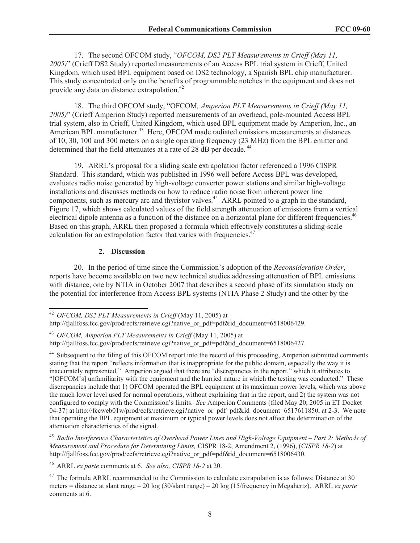17. The second OFCOM study, "*OFCOM, DS2 PLT Measurements in Crieff (May 11, 2005)*" (Crieff DS2 Study) reported measurements of an Access BPL trial system in Crieff, United Kingdom, which used BPL equipment based on DS2 technology, a Spanish BPL chip manufacturer. This study concentrated only on the benefits of programmable notches in the equipment and does not provide any data on distance extrapolation.<sup>42</sup>

18. The third OFCOM study, "OFCOM*, Amperion PLT Measurements in Crieff (May 11, 2005)*" (Crieff Amperion Study) reported measurements of an overhead, pole-mounted Access BPL trial system, also in Crieff, United Kingdom, which used BPL equipment made by Amperion, Inc., an American BPL manufacturer.<sup>43</sup> Here, OFCOM made radiated emissions measurements at distances of 10, 30, 100 and 300 meters on a single operating frequency (23 MHz) from the BPL emitter and determined that the field attenuates at a rate of 28 dB per decade.<sup>44</sup>

19. ARRL's proposal for a sliding scale extrapolation factor referenced a 1996 CISPR Standard. This standard, which was published in 1996 well before Access BPL was developed, evaluates radio noise generated by high-voltage converter power stations and similar high-voltage installations and discusses methods on how to reduce radio noise from inherent power line components, such as mercury arc and thyristor valves.<sup>45</sup> ARRL pointed to a graph in the standard, Figure 17, which shows calculated values of the field strength attenuation of emissions from a vertical electrical dipole antenna as a function of the distance on a horizontal plane for different frequencies.<sup>46</sup> Based on this graph, ARRL then proposed a formula which effectively constitutes a sliding-scale calculation for an extrapolation factor that varies with frequencies.<sup>47</sup>

#### **2. Discussion**

20. In the period of time since the Commission's adoption of the *Reconsideration Order*, reports have become available on two new technical studies addressing attenuation of BPL emissions with distance, one by NTIA in October 2007 that describes a second phase of its simulation study on the potential for interference from Access BPL systems (NTIA Phase 2 Study) and the other by the

<sup>45</sup> *Radio Interference Characteristics of Overhead Power Lines and High-Voltage Equipment – Part 2: Methods of Measurement and Procedure for Determining Limits,* CISPR 18-2, Amendment 2, (1996), (*CISPR 18-2*) at http://fjallfoss.fcc.gov/prod/ecfs/retrieve.cgi?native\_or\_pdf=pdf&id\_document=6518006430.

<sup>46</sup> ARRL *ex parte* comments at 6. *See also, CISPR 18-2* at 20.

<sup>47</sup> The formula ARRL recommended to the Commission to calculate extrapolation is as follows: Distance at 30 meters = distance at slant range – 20 log (30/slant range) – 20 log (15/frequency in Megahertz). ARRL *ex parte* comments at 6.

<sup>42</sup> *OFCOM, DS2 PLT Measurements in Crieff* (May 11, 2005) at

http://fjallfoss.fcc.gov/prod/ecfs/retrieve.cgi?native\_or\_pdf=pdf&id\_document=6518006429.

<sup>43</sup> *OFCOM, Amperion PLT Measurements in Crieff* (May 11, 2005) at http://fjallfoss.fcc.gov/prod/ecfs/retrieve.cgi?native\_or\_pdf=pdf&id\_document=6518006427.

<sup>&</sup>lt;sup>44</sup> Subsequent to the filing of this OFCOM report into the record of this proceeding, Amperion submitted comments stating that the report "reflects information that is inappropriate for the public domain, especially the way it is inaccurately represented." Amperion argued that there are "discrepancies in the report," which it attributes to "[OFCOM's] unfamiliarity with the equipment and the hurried nature in which the testing was conducted." These discrepancies include that 1) OFCOM operated the BPL equipment at its maximum power levels, which was above the much lower level used for normal operations, without explaining that in the report, and 2) the system was not configured to comply with the Commission's limits. *See* Amperion Comments (filed May 20, 2005 in ET Docket 04-37) at http://fccweb01w/prod/ecfs/retrieve.cgi?native\_or\_pdf=pdf&id\_document=6517611850, at 2-3. We note that operating the BPL equipment at maximum or typical power levels does not affect the determination of the attenuation characteristics of the signal.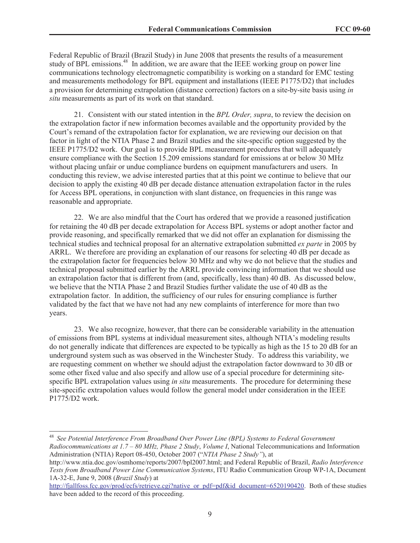Federal Republic of Brazil (Brazil Study) in June 2008 that presents the results of a measurement study of BPL emissions.<sup>48</sup> In addition, we are aware that the IEEE working group on power line communications technology electromagnetic compatibility is working on a standard for EMC testing and measurements methodology for BPL equipment and installations (IEEE P1775/D2) that includes a provision for determining extrapolation (distance correction) factors on a site-by-site basis using *in situ* measurements as part of its work on that standard.

21. Consistent with our stated intention in the *BPL Order, supra*, to review the decision on the extrapolation factor if new information becomes available and the opportunity provided by the Court's remand of the extrapolation factor for explanation, we are reviewing our decision on that factor in light of the NTIA Phase 2 and Brazil studies and the site-specific option suggested by the IEEE P1775/D2 work. Our goal is to provide BPL measurement procedures that will adequately ensure compliance with the Section 15.209 emissions standard for emissions at or below 30 MHz without placing unfair or undue compliance burdens on equipment manufacturers and users. In conducting this review, we advise interested parties that at this point we continue to believe that our decision to apply the existing 40 dB per decade distance attenuation extrapolation factor in the rules for Access BPL operations, in conjunction with slant distance, on frequencies in this range was reasonable and appropriate.

22. We are also mindful that the Court has ordered that we provide a reasoned justification for retaining the 40 dB per decade extrapolation for Access BPL systems or adopt another factor and provide reasoning, and specifically remarked that we did not offer an explanation for dismissing the technical studies and technical proposal for an alternative extrapolation submitted *ex parte* in 2005 by ARRL. We therefore are providing an explanation of our reasons for selecting 40 dB per decade as the extrapolation factor for frequencies below 30 MHz and why we do not believe that the studies and technical proposal submitted earlier by the ARRL provide convincing information that we should use an extrapolation factor that is different from (and, specifically, less than) 40 dB. As discussed below, we believe that the NTIA Phase 2 and Brazil Studies further validate the use of 40 dB as the extrapolation factor. In addition, the sufficiency of our rules for ensuring compliance is further validated by the fact that we have not had any new complaints of interference for more than two years.

23. We also recognize, however, that there can be considerable variability in the attenuation of emissions from BPL systems at individual measurement sites, although NTIA's modeling results do not generally indicate that differences are expected to be typically as high as the 15 to 20 dB for an underground system such as was observed in the Winchester Study. To address this variability, we are requesting comment on whether we should adjust the extrapolation factor downward to 30 dB or some other fixed value and also specify and allow use of a special procedure for determining sitespecific BPL extrapolation values using *in situ* measurements. The procedure for determining these site-specific extrapolation values would follow the general model under consideration in the IEEE P1775/D2 work.

<sup>48</sup> *See Potential Interference From Broadband Over Power Line (BPL) Systems to Federal Government Radiocommunications at 1.7 – 80 MHz, Phase 2 Study*, *Volume I*, National Telecommunications and Information Administration (NTIA) Report 08-450, October 2007 ("*NTIA Phase 2 Study"*), at

http://www.ntia.doc.gov/osmhome/reports/2007/bpl2007.html; and Federal Republic of Brazil, *Radio Interference Tests from Broadband Power Line Communication Systems*, ITU Radio Communication Group WP-1A, Document 1A-32-E, June 9, 2008 (*Brazil Study*) at

http://fjallfoss.fcc.gov/prod/ecfs/retrieve.cgi?native\_or\_pdf=pdf&id\_document=6520190420. Both of these studies have been added to the record of this proceeding.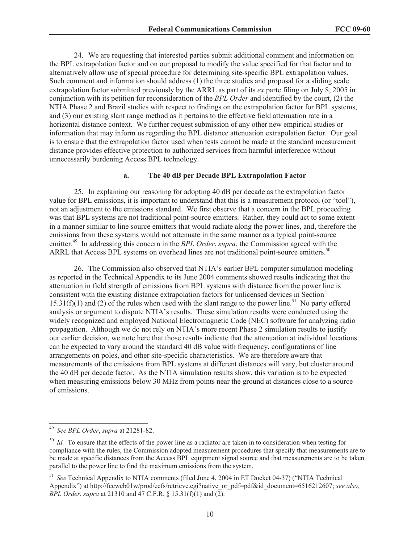24. We are requesting that interested parties submit additional comment and information on the BPL extrapolation factor and on our proposal to modify the value specified for that factor and to alternatively allow use of special procedure for determining site-specific BPL extrapolation values. Such comment and information should address (1) the three studies and proposal for a sliding scale extrapolation factor submitted previously by the ARRL as part of its *ex* parte filing on July 8, 2005 in conjunction with its petition for reconsideration of the *BPL Order* and identified by the court, (2) the NTIA Phase 2 and Brazil studies with respect to findings on the extrapolation factor for BPL systems, and (3) our existing slant range method as it pertains to the effective field attenuation rate in a horizontal distance context. We further request submission of any other new empirical studies or information that may inform us regarding the BPL distance attenuation extrapolation factor. Our goal is to ensure that the extrapolation factor used when tests cannot be made at the standard measurement distance provides effective protection to authorized services from harmful interference without unnecessarily burdening Access BPL technology.

#### **a. The 40 dB per Decade BPL Extrapolation Factor**

25. In explaining our reasoning for adopting 40 dB per decade as the extrapolation factor value for BPL emissions, it is important to understand that this is a measurement protocol (or "tool"), not an adjustment to the emissions standard. We first observe that a concern in the BPL proceeding was that BPL systems are not traditional point-source emitters. Rather, they could act to some extent in a manner similar to line source emitters that would radiate along the power lines, and, therefore the emissions from these systems would not attenuate in the same manner as a typical point-source emitter.<sup>49</sup> In addressing this concern in the *BPL Order*, *supra*, the Commission agreed with the ARRL that Access BPL systems on overhead lines are not traditional point-source emitters.<sup>50</sup>

26. The Commission also observed that NTIA's earlier BPL computer simulation modeling as reported in the Technical Appendix to its June 2004 comments showed results indicating that the attenuation in field strength of emissions from BPL systems with distance from the power line is consistent with the existing distance extrapolation factors for unlicensed devices in Section  $15.31(f)(1)$  and (2) of the rules when used with the slant range to the power line.<sup>51</sup> No party offered analysis or argument to dispute NTIA's results. These simulation results were conducted using the widely recognized and employed National Electromagnetic Code (NEC) software for analyzing radio propagation. Although we do not rely on NTIA's more recent Phase 2 simulation results to justify our earlier decision, we note here that those results indicate that the attenuation at individual locations can be expected to vary around the standard 40 dB value with frequency, configurations of line arrangements on poles, and other site-specific characteristics. We are therefore aware that measurements of the emissions from BPL systems at different distances will vary, but cluster around the 40 dB per decade factor. As the NTIA simulation results show, this variation is to be expected when measuring emissions below 30 MHz from points near the ground at distances close to a source of emissions.

<sup>49</sup> *See BPL Order*, *supra* at 21281-82.

<sup>&</sup>lt;sup>50</sup> *Id.* To ensure that the effects of the power line as a radiator are taken in to consideration when testing for compliance with the rules, the Commission adopted measurement procedures that specify that measurements are to be made at specific distances from the Access BPL equipment signal source and that measurements are to be taken parallel to the power line to find the maximum emissions from the system.

<sup>51</sup> *See* Technical Appendix to NTIA comments (filed June 4, 2004 in ET Docket 04-37) ("NTIA Technical Appendix") at http://fccweb01w/prod/ecfs/retrieve.cgi?native\_or\_pdf=pdf&id\_document=6516212607; *see also, BPL Order*, *supra* at 21310 and 47 C.F.R. § 15.31(f)(1) and (2).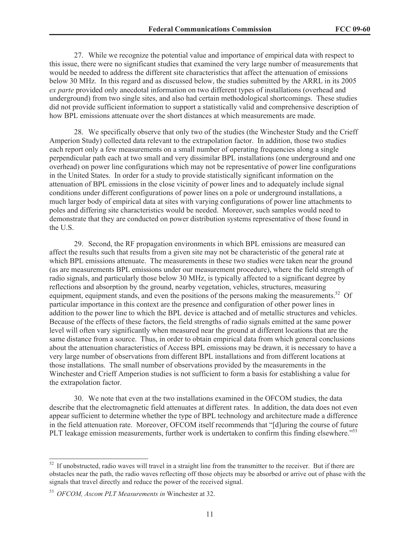27. While we recognize the potential value and importance of empirical data with respect to this issue, there were no significant studies that examined the very large number of measurements that would be needed to address the different site characteristics that affect the attenuation of emissions below 30 MHz. In this regard and as discussed below, the studies submitted by the ARRL in its 2005 *ex parte* provided only anecdotal information on two different types of installations (overhead and underground) from two single sites, and also had certain methodological shortcomings. These studies did not provide sufficient information to support a statistically valid and comprehensive description of how BPL emissions attenuate over the short distances at which measurements are made.

28. We specifically observe that only two of the studies (the Winchester Study and the Crieff Amperion Study) collected data relevant to the extrapolation factor. In addition, those two studies each report only a few measurements on a small number of operating frequencies along a single perpendicular path each at two small and very dissimilar BPL installations (one underground and one overhead) on power line configurations which may not be representative of power line configurations in the United States. In order for a study to provide statistically significant information on the attenuation of BPL emissions in the close vicinity of power lines and to adequately include signal conditions under different configurations of power lines on a pole or underground installations, a much larger body of empirical data at sites with varying configurations of power line attachments to poles and differing site characteristics would be needed. Moreover, such samples would need to demonstrate that they are conducted on power distribution systems representative of those found in the U.S.

29. Second, the RF propagation environments in which BPL emissions are measured can affect the results such that results from a given site may not be characteristic of the general rate at which BPL emissions attenuate. The measurements in these two studies were taken near the ground (as are measurements BPL emissions under our measurement procedure), where the field strength of radio signals, and particularly those below 30 MHz, is typically affected to a significant degree by reflections and absorption by the ground, nearby vegetation, vehicles, structures, measuring equipment, equipment stands, and even the positions of the persons making the measurements.<sup>52</sup> Of particular importance in this context are the presence and configuration of other power lines in addition to the power line to which the BPL device is attached and of metallic structures and vehicles. Because of the effects of these factors, the field strengths of radio signals emitted at the same power level will often vary significantly when measured near the ground at different locations that are the same distance from a source. Thus, in order to obtain empirical data from which general conclusions about the attenuation characteristics of Access BPL emissions may be drawn, it is necessary to have a very large number of observations from different BPL installations and from different locations at those installations. The small number of observations provided by the measurements in the Winchester and Crieff Amperion studies is not sufficient to form a basis for establishing a value for the extrapolation factor.

30. We note that even at the two installations examined in the OFCOM studies, the data describe that the electromagnetic field attenuates at different rates. In addition, the data does not even appear sufficient to determine whether the type of BPL technology and architecture made a difference in the field attenuation rate. Moreover, OFCOM itself recommends that "[d]uring the course of future PLT leakage emission measurements, further work is undertaken to confirm this finding elsewhere."<sup>53</sup>

<sup>&</sup>lt;sup>52</sup> If unobstructed, radio waves will travel in a straight line from the transmitter to the receiver. But if there are obstacles near the path, the radio waves reflecting off those objects may be absorbed or arrive out of phase with the signals that travel directly and reduce the power of the received signal.

<sup>53</sup> *OFCOM, Ascom PLT Measurements in* Winchester at 32.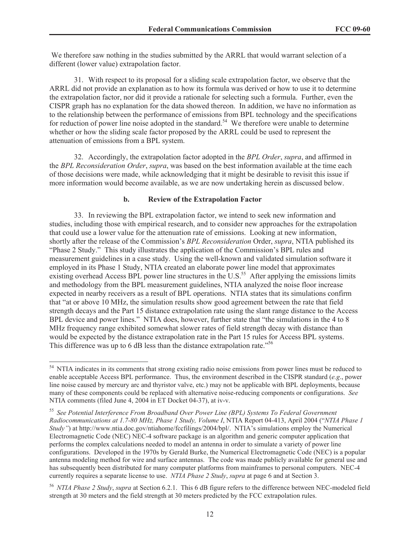We therefore saw nothing in the studies submitted by the ARRL that would warrant selection of a different (lower value) extrapolation factor.

31. With respect to its proposal for a sliding scale extrapolation factor, we observe that the ARRL did not provide an explanation as to how its formula was derived or how to use it to determine the extrapolation factor, nor did it provide a rationale for selecting such a formula. Further, even the CISPR graph has no explanation for the data showed thereon. In addition, we have no information as to the relationship between the performance of emissions from BPL technology and the specifications for reduction of power line noise adopted in the standard.<sup>54</sup> We therefore were unable to determine whether or how the sliding scale factor proposed by the ARRL could be used to represent the attenuation of emissions from a BPL system.

32. Accordingly, the extrapolation factor adopted in the *BPL Order*, *supra*, and affirmed in the *BPL Reconsideration Order*, *supra*, was based on the best information available at the time each of those decisions were made, while acknowledging that it might be desirable to revisit this issue if more information would become available, as we are now undertaking herein as discussed below.

#### **b. Review of the Extrapolation Factor**

33. In reviewing the BPL extrapolation factor, we intend to seek new information and studies, including those with empirical research, and to consider new approaches for the extrapolation that could use a lower value for the attenuation rate of emissions. Looking at new information, shortly after the release of the Commission's *BPL Reconsideration* Order, *supra*, NTIA published its "Phase 2 Study." This study illustrates the application of the Commission's BPL rules and measurement guidelines in a case study. Using the well-known and validated simulation software it employed in its Phase 1 Study, NTIA created an elaborate power line model that approximates existing overhead Access BPL power line structures in the  $\overline{U.S.}^{55}$  After applying the emissions limits and methodology from the BPL measurement guidelines, NTIA analyzed the noise floor increase expected in nearby receivers as a result of BPL operations. NTIA states that its simulations confirm that "at or above 10 MHz, the simulation results show good agreement between the rate that field strength decays and the Part 15 distance extrapolation rate using the slant range distance to the Access BPL device and power lines." NTIA does, however, further state that "the simulations in the 4 to 8 MHz frequency range exhibited somewhat slower rates of field strength decay with distance than would be expected by the distance extrapolation rate in the Part 15 rules for Access BPL systems. This difference was up to 6 dB less than the distance extrapolation rate.<sup>556</sup>

<sup>&</sup>lt;sup>54</sup> NTIA indicates in its comments that strong existing radio noise emissions from power lines must be reduced to enable acceptable Access BPL performance. Thus, the environment described in the CISPR standard (*e.g*., power line noise caused by mercury arc and thyristor valve, etc.) may not be applicable with BPL deployments, because many of these components could be replaced with alternative noise-reducing components or configurations. *See*  NTIA comments (filed June 4, 2004 in ET Docket 04-37), at iv-v.

<sup>55</sup> *See Potential Interference From Broadband Over Power Line (BPL) Systems To Federal Government Radiocommunications at 1.7-80 MHz, Phase 1 Study, Volume I*, NTIA Report 04-413, April 2004 ("*NTIA Phase 1 Study"*) at http://www.ntia.doc.gov/ntiahome/fccfilings/2004/bpl/. NTIA's simulations employ the Numerical Electromagnetic Code (NEC) NEC-4 software package is an algorithm and generic computer application that performs the complex calculations needed to model an antenna in order to simulate a variety of power line configurations. Developed in the 1970s by Gerald Burke, the Numerical Electromagnetic Code (NEC) is a popular antenna modeling method for wire and surface antennas. The code was made publicly available for general use and has subsequently been distributed for many computer platforms from mainframes to personal computers. NEC-4 currently requires a separate license to use. *NTIA Phase 2 Study*, *supra* at page 6 and at Section 3.

<sup>56</sup> *NTIA Phase 2 Study*, *supra* at Section 6.2.1. This 6 dB figure refers to the difference between NEC-modeled field strength at 30 meters and the field strength at 30 meters predicted by the FCC extrapolation rules.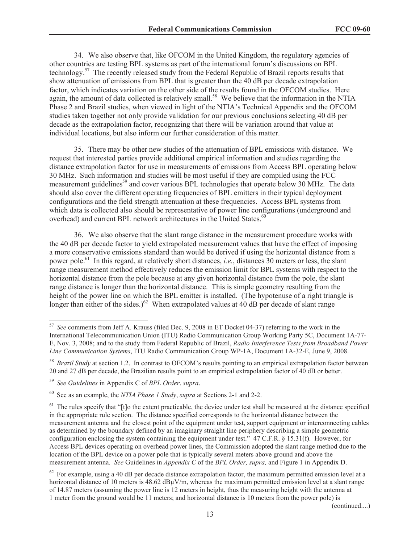34. We also observe that, like OFCOM in the United Kingdom, the regulatory agencies of other countries are testing BPL systems as part of the international forum's discussions on BPL technology.<sup>57</sup> The recently released study from the Federal Republic of Brazil reports results that show attenuation of emissions from BPL that is greater than the 40 dB per decade extrapolation factor, which indicates variation on the other side of the results found in the OFCOM studies. Here again, the amount of data collected is relatively small.<sup>58</sup> We believe that the information in the NTIA Phase 2 and Brazil studies, when viewed in light of the NTIA's Technical Appendix and the OFCOM studies taken together not only provide validation for our previous conclusions selecting 40 dB per decade as the extrapolation factor, recognizing that there will be variation around that value at individual locations, but also inform our further consideration of this matter.

35. There may be other new studies of the attenuation of BPL emissions with distance. We request that interested parties provide additional empirical information and studies regarding the distance extrapolation factor for use in measurements of emissions from Access BPL operating below 30 MHz. Such information and studies will be most useful if they are compiled using the FCC measurement guidelines<sup>59</sup> and cover various BPL technologies that operate below 30 MHz. The data should also cover the different operating frequencies of BPL emitters in their typical deployment configurations and the field strength attenuation at these frequencies. Access BPL systems from which data is collected also should be representative of power line configurations (underground and overhead) and current BPL network architectures in the United States.<sup>60</sup>

36. We also observe that the slant range distance in the measurement procedure works with the 40 dB per decade factor to yield extrapolated measurement values that have the effect of imposing a more conservative emissions standard than would be derived if using the horizontal distance from a power pole.<sup>61</sup> In this regard, at relatively short distances, *i.e.*, distances 30 meters or less, the slant range measurement method effectively reduces the emission limit for BPL systems with respect to the horizontal distance from the pole because at any given horizontal distance from the pole, the slant range distance is longer than the horizontal distance. This is simple geometry resulting from the height of the power line on which the BPL emitter is installed. (The hypotenuse of a right triangle is longer than either of the sides.)<sup>62</sup> When extrapolated values at 40 dB per decade of slant range

(continued....)

<sup>57</sup> *See* comments from Jeff A. Krauss (filed Dec. 9, 2008 in ET Docket 04-37) referring to the work in the International Telecommunication Union (ITU) Radio Communication Group Working Party 5C, Document 1A-77- E, Nov. 3, 2008; and to the study from Federal Republic of Brazil, *Radio Interference Tests from Broadband Power Line Communication Systems*, ITU Radio Communication Group WP-1A, Document 1A-32-E, June 9, 2008.

<sup>&</sup>lt;sup>58</sup> *Brazil Study* at section 1.2. In contrast to OFCOM's results pointing to an empirical extrapolation factor between 20 and 27 dB per decade, the Brazilian results point to an empirical extrapolation factor of 40 dB or better.

<sup>59</sup> *See Guidelines* in Appendix C of *BPL Order*. *supra*.

<sup>60</sup> See as an example, the *NTIA Phase 1 Study*, *supra* at Sections 2-1 and 2-2.

 $<sup>61</sup>$  The rules specify that "[t]o the extent practicable, the device under test shall be measured at the distance specified</sup> in the appropriate rule section. The distance specified corresponds to the horizontal distance between the measurement antenna and the closest point of the equipment under test, support equipment or interconnecting cables as determined by the boundary defined by an imaginary straight line periphery describing a simple geometric configuration enclosing the system containing the equipment under test." 47 C.F.R. § 15.31(f). However, for Access BPL devices operating on overhead power lines, the Commission adopted the slant range method due to the location of the BPL device on a power pole that is typically several meters above ground and above the measurement antenna. *See* Guidelines in *Appendix C* of the *BPL Order, supra,* and Figure 1 in Appendix D.

 $62$  For example, using a 40 dB per decade distance extrapolation factor, the maximum permitted emission level at a horizontal distance of 10 meters is  $48.62$  dB $\mu$ V/m, whereas the maximum permitted emission level at a slant range of 14.87 meters (assuming the power line is 12 meters in height, thus the measuring height with the antenna at 1 meter from the ground would be 11 meters; and horizontal distance is 10 meters from the power pole) is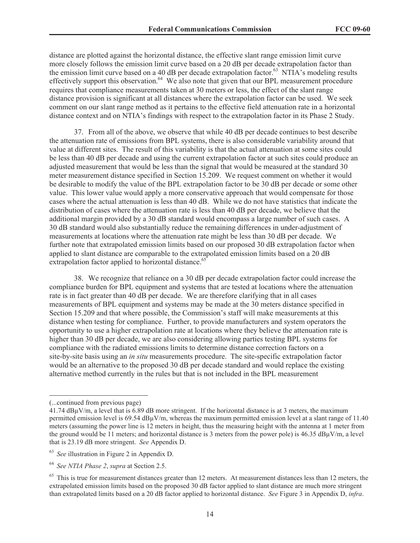distance are plotted against the horizontal distance, the effective slant range emission limit curve more closely follows the emission limit curve based on a 20 dB per decade extrapolation factor than the emission limit curve based on a 40 dB per decade extrapolation factor.<sup>63</sup> NTIA's modeling results effectively support this observation.<sup>64</sup> We also note that given that our BPL measurement procedure requires that compliance measurements taken at 30 meters or less, the effect of the slant range distance provision is significant at all distances where the extrapolation factor can be used. We seek comment on our slant range method as it pertains to the effective field attenuation rate in a horizontal distance context and on NTIA's findings with respect to the extrapolation factor in its Phase 2 Study.

37. From all of the above, we observe that while 40 dB per decade continues to best describe the attenuation rate of emissions from BPL systems, there is also considerable variability around that value at different sites. The result of this variability is that the actual attenuation at some sites could be less than 40 dB per decade and using the current extrapolation factor at such sites could produce an adjusted measurement that would be less than the signal that would be measured at the standard 30 meter measurement distance specified in Section 15.209. We request comment on whether it would be desirable to modify the value of the BPL extrapolation factor to be 30 dB per decade or some other value. This lower value would apply a more conservative approach that would compensate for those cases where the actual attenuation is less than 40 dB. While we do not have statistics that indicate the distribution of cases where the attenuation rate is less than 40 dB per decade, we believe that the additional margin provided by a 30 dB standard would encompass a large number of such cases. A 30 dB standard would also substantially reduce the remaining differences in under-adjustment of measurements at locations where the attenuation rate might be less than 30 dB per decade. We further note that extrapolated emission limits based on our proposed 30 dB extrapolation factor when applied to slant distance are comparable to the extrapolated emission limits based on a 20 dB extrapolation factor applied to horizontal distance.<sup>65</sup>

38. We recognize that reliance on a 30 dB per decade extrapolation factor could increase the compliance burden for BPL equipment and systems that are tested at locations where the attenuation rate is in fact greater than 40 dB per decade. We are therefore clarifying that in all cases measurements of BPL equipment and systems may be made at the 30 meters distance specified in Section 15.209 and that where possible, the Commission's staff will make measurements at this distance when testing for compliance. Further, to provide manufacturers and system operators the opportunity to use a higher extrapolation rate at locations where they believe the attenuation rate is higher than 30 dB per decade, we are also considering allowing parties testing BPL systems for compliance with the radiated emissions limits to determine distance correction factors on a site-by-site basis using an *in situ* measurements procedure. The site-specific extrapolation factor would be an alternative to the proposed 30 dB per decade standard and would replace the existing alternative method currently in the rules but that is not included in the BPL measurement

<sup>(...</sup>continued from previous page)

<sup>41.74</sup> dBµV/m, a level that is 6.89 dB more stringent. If the horizontal distance is at 3 meters, the maximum permitted emission level is 69.54 dBµV/m, whereas the maximum permitted emission level at a slant range of 11.40 meters (assuming the power line is 12 meters in height, thus the measuring height with the antenna at 1 meter from the ground would be 11 meters; and horizontal distance is 3 meters from the power pole) is  $46.35 \text{ dB} \mu\text{V/m}$ , a level that is 23.19 dB more stringent. *See* Appendix D.

<sup>63</sup> *See* illustration in Figure 2 in Appendix D.

<sup>64</sup> *See NTIA Phase 2*, *supra* at Section 2.5.

 $65$  This is true for measurement distances greater than 12 meters. At measurement distances less than 12 meters, the extrapolated emission limits based on the proposed 30 dB factor applied to slant distance are much more stringent than extrapolated limits based on a 20 dB factor applied to horizontal distance. *See* Figure 3 in Appendix D, *infra*.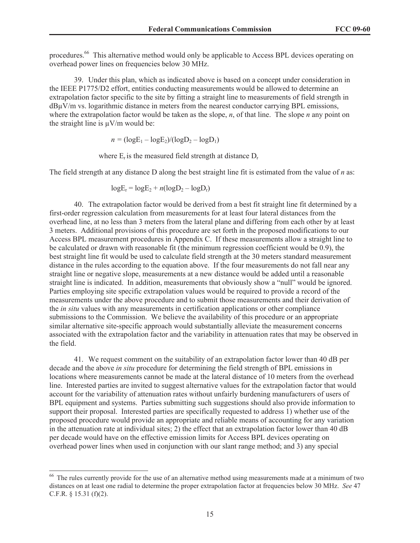procedures.<sup>66</sup> This alternative method would only be applicable to Access BPL devices operating on overhead power lines on frequencies below 30 MHz.

39. Under this plan, which as indicated above is based on a concept under consideration in the IEEE P1775/D2 effort, entities conducting measurements would be allowed to determine an extrapolation factor specific to the site by fitting a straight line to measurements of field strength in dBµV/m vs. logarithmic distance in meters from the nearest conductor carrying BPL emissions, where the extrapolation factor would be taken as the slope, *n*, of that line. The slope *n* any point on the straight line is  $\mu$ V/m would be:

$$
n = (\log E_1 - \log E_2)/(\log D_2 - \log D_1)
$$

where  $E_r$  is the measured field strength at distance  $D_r$ 

The field strength at any distance D along the best straight line fit is estimated from the value of *n* as:

$$
\log E_r = \log E_2 + n(\log D_2 - \log D_r)
$$

40. The extrapolation factor would be derived from a best fit straight line fit determined by a first-order regression calculation from measurements for at least four lateral distances from the overhead line, at no less than 3 meters from the lateral plane and differing from each other by at least 3 meters. Additional provisions of this procedure are set forth in the proposed modifications to our Access BPL measurement procedures in Appendix C. If these measurements allow a straight line to be calculated or drawn with reasonable fit (the minimum regression coefficient would be 0.9), the best straight line fit would be used to calculate field strength at the 30 meters standard measurement distance in the rules according to the equation above. If the four measurements do not fall near any straight line or negative slope, measurements at a new distance would be added until a reasonable straight line is indicated. In addition, measurements that obviously show a "null" would be ignored. Parties employing site specific extrapolation values would be required to provide a record of the measurements under the above procedure and to submit those measurements and their derivation of the *in situ* values with any measurements in certification applications or other compliance submissions to the Commission. We believe the availability of this procedure or an appropriate similar alternative site-specific approach would substantially alleviate the measurement concerns associated with the extrapolation factor and the variability in attenuation rates that may be observed in the field.

41. We request comment on the suitability of an extrapolation factor lower than 40 dB per decade and the above *in situ* procedure for determining the field strength of BPL emissions in locations where measurements cannot be made at the lateral distance of 10 meters from the overhead line. Interested parties are invited to suggest alternative values for the extrapolation factor that would account for the variability of attenuation rates without unfairly burdening manufacturers of users of BPL equipment and systems. Parties submitting such suggestions should also provide information to support their proposal. Interested parties are specifically requested to address 1) whether use of the proposed procedure would provide an appropriate and reliable means of accounting for any variation in the attenuation rate at individual sites; 2) the effect that an extrapolation factor lower than 40 dB per decade would have on the effective emission limits for Access BPL devices operating on overhead power lines when used in conjunction with our slant range method; and 3) any special

<sup>&</sup>lt;sup>66</sup> The rules currently provide for the use of an alternative method using measurements made at a minimum of two distances on at least one radial to determine the proper extrapolation factor at frequencies below 30 MHz. *See* 47 C.F.R. § 15.31 (f)(2).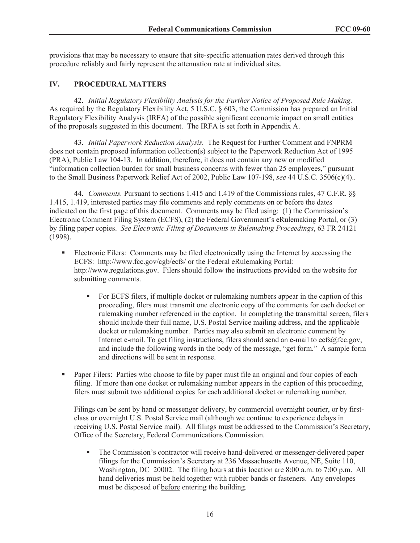provisions that may be necessary to ensure that site-specific attenuation rates derived through this procedure reliably and fairly represent the attenuation rate at individual sites.

## **IV. PROCEDURAL MATTERS**

42. *Initial Regulatory Flexibility Analysis for the Further Notice of Proposed Rule Making.* As required by the Regulatory Flexibility Act, 5 U.S.C. § 603, the Commission has prepared an Initial Regulatory Flexibility Analysis (IRFA) of the possible significant economic impact on small entities of the proposals suggested in this document. The IRFA is set forth in Appendix A.

43. *Initial Paperwork Reduction Analysis.* The Request for Further Comment and FNPRM does not contain proposed information collection(s) subject to the Paperwork Reduction Act of 1995 (PRA), Public Law 104-13. In addition, therefore, it does not contain any new or modified "information collection burden for small business concerns with fewer than 25 employees," pursuant to the Small Business Paperwork Relief Act of 2002, Public Law 107-198, *see* 44 U.S.C. 3506(c)(4)..

44. *Comments.* Pursuant to sections 1.415 and 1.419 of the Commissions rules, 47 C.F.R. §§ 1.415, 1.419, interested parties may file comments and reply comments on or before the dates indicated on the first page of this document. Comments may be filed using: (1) the Commission's Electronic Comment Filing System (ECFS), (2) the Federal Government's eRulemaking Portal, or (3) by filing paper copies. *See Electronic Filing of Documents in Rulemaking Proceedings*, 63 FR 24121 (1998).

- Electronic Filers: Comments may be filed electronically using the Internet by accessing the ECFS: http://www.fcc.gov/cgb/ecfs/ or the Federal eRulemaking Portal: http://www.regulations.gov. Filers should follow the instructions provided on the website for submitting comments.
	- For ECFS filers, if multiple docket or rulemaking numbers appear in the caption of this proceeding, filers must transmit one electronic copy of the comments for each docket or rulemaking number referenced in the caption. In completing the transmittal screen, filers should include their full name, U.S. Postal Service mailing address, and the applicable docket or rulemaking number. Parties may also submit an electronic comment by Internet e-mail. To get filing instructions, filers should send an e-mail to ecfs@fcc.gov, and include the following words in the body of the message, "get form." A sample form and directions will be sent in response.
- Paper Filers: Parties who choose to file by paper must file an original and four copies of each filing. If more than one docket or rulemaking number appears in the caption of this proceeding, filers must submit two additional copies for each additional docket or rulemaking number.

Filings can be sent by hand or messenger delivery, by commercial overnight courier, or by firstclass or overnight U.S. Postal Service mail (although we continue to experience delays in receiving U.S. Postal Service mail). All filings must be addressed to the Commission's Secretary, Office of the Secretary, Federal Communications Commission.

■ The Commission's contractor will receive hand-delivered or messenger-delivered paper filings for the Commission's Secretary at 236 Massachusetts Avenue, NE, Suite 110, Washington, DC 20002. The filing hours at this location are 8:00 a.m. to 7:00 p.m. All hand deliveries must be held together with rubber bands or fasteners. Any envelopes must be disposed of before entering the building.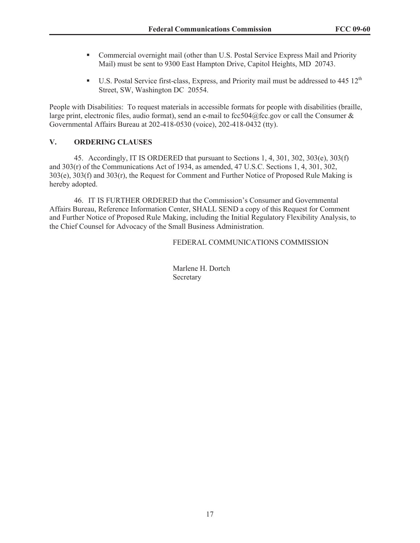- Commercial overnight mail (other than U.S. Postal Service Express Mail and Priority Mail) must be sent to 9300 East Hampton Drive, Capitol Heights, MD 20743.
- **•** U.S. Postal Service first-class, Express, and Priority mail must be addressed to 445  $12<sup>th</sup>$ Street, SW, Washington DC 20554.

People with Disabilities: To request materials in accessible formats for people with disabilities (braille, large print, electronic files, audio format), send an e-mail to fcc504@fcc.gov or call the Consumer  $\&$ Governmental Affairs Bureau at 202-418-0530 (voice), 202-418-0432 (tty).

## **V. ORDERING CLAUSES**

45. Accordingly, IT IS ORDERED that pursuant to Sections 1, 4, 301, 302, 303(e), 303(f) and 303(r) of the Communications Act of 1934, as amended, 47 U.S.C. Sections 1, 4, 301, 302, 303(e), 303(f) and 303(r), the Request for Comment and Further Notice of Proposed Rule Making is hereby adopted.

46. IT IS FURTHER ORDERED that the Commission's Consumer and Governmental Affairs Bureau, Reference Information Center, SHALL SEND a copy of this Request for Comment and Further Notice of Proposed Rule Making, including the Initial Regulatory Flexibility Analysis, to the Chief Counsel for Advocacy of the Small Business Administration.

## FEDERAL COMMUNICATIONS COMMISSION

Marlene H. Dortch Secretary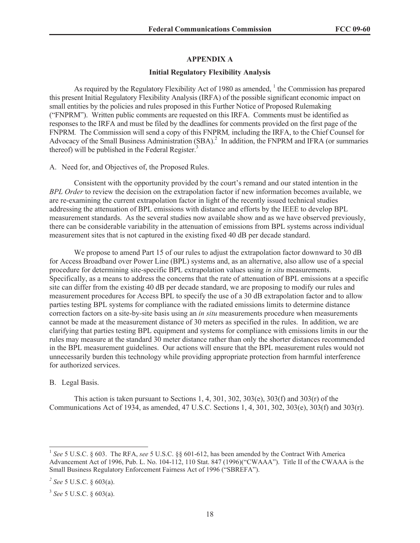#### **APPENDIX A**

#### **Initial Regulatory Flexibility Analysis**

As required by the Regulatory Flexibility Act of 1980 as amended,  $\frac{1}{1}$  the Commission has prepared this present Initial Regulatory Flexibility Analysis (IRFA) of the possible significant economic impact on small entities by the policies and rules proposed in this Further Notice of Proposed Rulemaking ("FNPRM"). Written public comments are requested on this IRFA. Comments must be identified as responses to the IRFA and must be filed by the deadlines for comments provided on the first page of the FNPRM*.* The Commission will send a copy of this FNPRM*,* including the IRFA, to the Chief Counsel for Advocacy of the Small Business Administration (SBA).<sup>2</sup> In addition, the FNPRM and IFRA (or summaries thereof) will be published in the Federal Register. $3$ 

A. Need for, and Objectives of, the Proposed Rules.

Consistent with the opportunity provided by the court's remand and our stated intention in the *BPL Order* to review the decision on the extrapolation factor if new information becomes available, we are re-examining the current extrapolation factor in light of the recently issued technical studies addressing the attenuation of BPL emissions with distance and efforts by the IEEE to develop BPL measurement standards. As the several studies now available show and as we have observed previously, there can be considerable variability in the attenuation of emissions from BPL systems across individual measurement sites that is not captured in the existing fixed 40 dB per decade standard.

We propose to amend Part 15 of our rules to adjust the extrapolation factor downward to 30 dB for Access Broadband over Power Line (BPL) systems and, as an alternative, also allow use of a special procedure for determining site-specific BPL extrapolation values using *in situ* measurements. Specifically, as a means to address the concerns that the rate of attenuation of BPL emissions at a specific site can differ from the existing 40 dB per decade standard, we are proposing to modify our rules and measurement procedures for Access BPL to specify the use of a 30 dB extrapolation factor and to allow parties testing BPL systems for compliance with the radiated emissions limits to determine distance correction factors on a site-by-site basis using an *in situ* measurements procedure when measurements cannot be made at the measurement distance of 30 meters as specified in the rules. In addition, we are clarifying that parties testing BPL equipment and systems for compliance with emissions limits in our the rules may measure at the standard 30 meter distance rather than only the shorter distances recommended in the BPL measurement guidelines. Our actions will ensure that the BPL measurement rules would not unnecessarily burden this technology while providing appropriate protection from harmful interference for authorized services.

#### B. Legal Basis.

This action is taken pursuant to Sections 1, 4, 301, 302, 303(e), 303(f) and 303(r) of the Communications Act of 1934, as amended, 47 U.S.C. Sections 1, 4, 301, 302, 303(e), 303(f) and 303(r).

<sup>&</sup>lt;sup>1</sup> See 5 U.S.C. § 603. The RFA, see 5 U.S.C. §§ 601-612, has been amended by the Contract With America Advancement Act of 1996, Pub. L. No. 104-112, 110 Stat. 847 (1996)("CWAAA"). Title II of the CWAAA is the Small Business Regulatory Enforcement Fairness Act of 1996 ("SBREFA").

*<sup>2</sup> See* 5 U.S.C. § 603(a).

<sup>3</sup> *See* 5 U.S.C. § 603(a).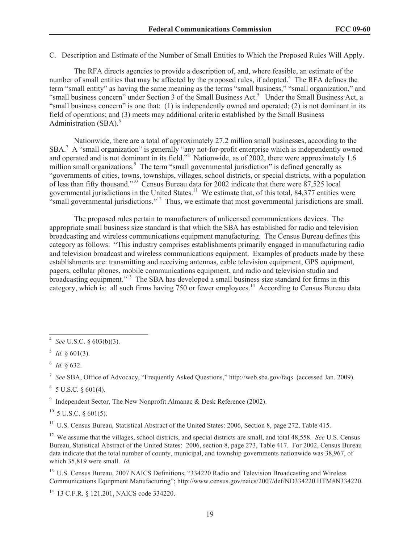C. Description and Estimate of the Number of Small Entities to Which the Proposed Rules Will Apply.

The RFA directs agencies to provide a description of, and, where feasible, an estimate of the number of small entities that may be affected by the proposed rules, if adopted.<sup>4</sup> The RFA defines the term "small entity" as having the same meaning as the terms "small business," "small organization," and "small business concern" under Section 3 of the Small Business Act.<sup>5</sup> Under the Small Business Act, a "small business concern" is one that: (1) is independently owned and operated; (2) is not dominant in its field of operations; and (3) meets may additional criteria established by the Small Business Administration (SBA).<sup>6</sup>

Nationwide, there are a total of approximately 27.2 million small businesses, according to the SBA.<sup>7</sup> A "small organization" is generally "any not-for-profit enterprise which is independently owned and operated and is not dominant in its field."<sup>8</sup> Nationwide, as of 2002, there were approximately 1.6 million small organizations.<sup>9</sup> The term "small governmental jurisdiction" is defined generally as "governments of cities, towns, townships, villages, school districts, or special districts, with a population of less than fifty thousand."<sup>10</sup> Census Bureau data for 2002 indicate that there were 87,525 local governmental jurisdictions in the United States.<sup>11</sup> We estimate that, of this total, 84,377 entities were "small governmental jurisdictions."<sup>12</sup> Thus, we estimate that most governmental jurisdictions are small.

The proposed rules pertain to manufacturers of unlicensed communications devices. The appropriate small business size standard is that which the SBA has established for radio and television broadcasting and wireless communications equipment manufacturing. The Census Bureau defines this category as follows: "This industry comprises establishments primarily engaged in manufacturing radio and television broadcast and wireless communications equipment. Examples of products made by these establishments are: transmitting and receiving antennas, cable television equipment, GPS equipment, pagers, cellular phones, mobile communications equipment, and radio and television studio and broadcasting equipment."<sup>13</sup> The SBA has developed a small business size standard for firms in this category, which is: all such firms having 750 or fewer employees.<sup>14</sup> According to Census Bureau data

 $8\,$  5 U.S.C. § 601(4).

<sup>9</sup> Independent Sector, The New Nonprofit Almanac & Desk Reference (2002).

 $^{10}$  5 U.S.C. § 601(5).

<sup>11</sup> U.S. Census Bureau, Statistical Abstract of the United States: 2006, Section 8, page 272, Table 415.

<sup>12</sup> We assume that the villages, school districts, and special districts are small, and total 48,558. *See* U.S. Census Bureau, Statistical Abstract of the United States: 2006, section 8, page 273, Table 417. For 2002, Census Bureau data indicate that the total number of county, municipal, and township governments nationwide was 38,967, of which 35,819 were small. *Id.*

<sup>13</sup> U.S. Census Bureau, 2007 NAICS Definitions, "334220 Radio and Television Broadcasting and Wireless Communications Equipment Manufacturing"; http://www.census.gov/naics/2007/def/ND334220.HTM#N334220.

<sup>14</sup> 13 C.F.R. § 121.201, NAICS code 334220.

<sup>4</sup> *See* U.S.C. § 603(b)(3).

 $^5$  *Id.* § 601(3).

<sup>6</sup> *Id.* § 632.

<sup>7</sup> *See* SBA, Office of Advocacy, "Frequently Asked Questions," http://web.sba.gov/faqs (accessed Jan. 2009).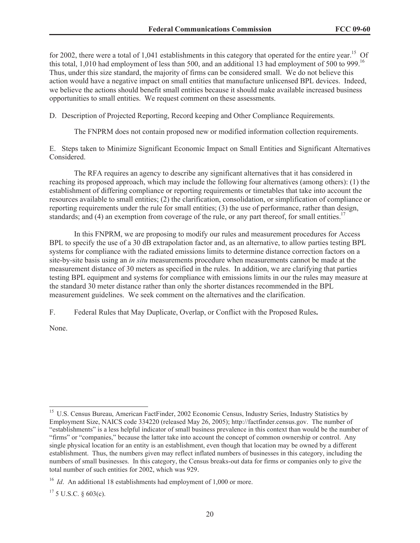for 2002, there were a total of 1,041 establishments in this category that operated for the entire year.<sup>15</sup> Of this total, 1,010 had employment of less than 500, and an additional 13 had employment of 500 to 999.<sup>16</sup> Thus, under this size standard, the majority of firms can be considered small. We do not believe this action would have a negative impact on small entities that manufacture unlicensed BPL devices. Indeed, we believe the actions should benefit small entities because it should make available increased business opportunities to small entities. We request comment on these assessments.

D. Description of Projected Reporting, Record keeping and Other Compliance Requirements.

The FNPRM does not contain proposed new or modified information collection requirements.

E. Steps taken to Minimize Significant Economic Impact on Small Entities and Significant Alternatives Considered.

The RFA requires an agency to describe any significant alternatives that it has considered in reaching its proposed approach, which may include the following four alternatives (among others): (1) the establishment of differing compliance or reporting requirements or timetables that take into account the resources available to small entities; (2) the clarification, consolidation, or simplification of compliance or reporting requirements under the rule for small entities; (3) the use of performance, rather than design, standards; and (4) an exemption from coverage of the rule, or any part thereof, for small entities.<sup>17</sup>

In this FNPRM, we are proposing to modify our rules and measurement procedures for Access BPL to specify the use of a 30 dB extrapolation factor and, as an alternative, to allow parties testing BPL systems for compliance with the radiated emissions limits to determine distance correction factors on a site-by-site basis using an *in situ* measurements procedure when measurements cannot be made at the measurement distance of 30 meters as specified in the rules. In addition, we are clarifying that parties testing BPL equipment and systems for compliance with emissions limits in our the rules may measure at the standard 30 meter distance rather than only the shorter distances recommended in the BPL measurement guidelines. We seek comment on the alternatives and the clarification.

F. Federal Rules that May Duplicate, Overlap, or Conflict with the Proposed Rules**.**

None.

<sup>&</sup>lt;sup>15</sup> U.S. Census Bureau, American FactFinder, 2002 Economic Census, Industry Series, Industry Statistics by Employment Size, NAICS code 334220 (released May 26, 2005); http://factfinder.census.gov. The number of "establishments" is a less helpful indicator of small business prevalence in this context than would be the number of "firms" or "companies," because the latter take into account the concept of common ownership or control. Any single physical location for an entity is an establishment, even though that location may be owned by a different establishment. Thus, the numbers given may reflect inflated numbers of businesses in this category, including the numbers of small businesses. In this category, the Census breaks-out data for firms or companies only to give the total number of such entities for 2002, which was 929.

<sup>&</sup>lt;sup>16</sup> *Id.* An additional 18 establishments had employment of 1,000 or more.

 $17$  5 U.S.C. § 603(c).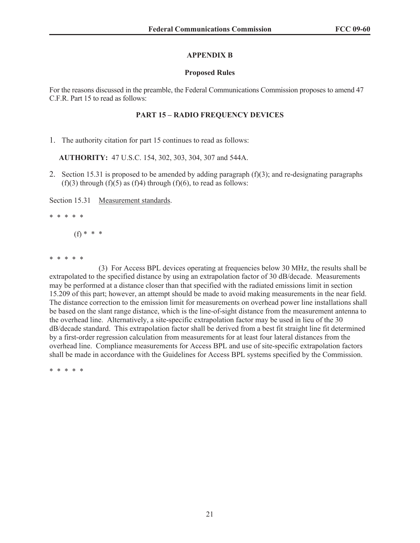#### **APPENDIX B**

#### **Proposed Rules**

For the reasons discussed in the preamble, the Federal Communications Commission proposes to amend 47 C.F.R. Part 15 to read as follows:

## **PART 15 – RADIO FREQUENCY DEVICES**

1. The authority citation for part 15 continues to read as follows:

**AUTHORITY:** 47 U.S.C. 154, 302, 303, 304, 307 and 544A.

2. Section 15.31 is proposed to be amended by adding paragraph  $(f)(3)$ ; and re-designating paragraphs  $(f)(3)$  through  $(f)(5)$  as  $(f)(4)$  through  $(f)(6)$ , to read as follows:

Section 15.31 Measurement standards.

\* \* \* \* \*

(f) \* \* \*

\* \* \* \* \*

(3) For Access BPL devices operating at frequencies below 30 MHz, the results shall be extrapolated to the specified distance by using an extrapolation factor of 30 dB/decade. Measurements may be performed at a distance closer than that specified with the radiated emissions limit in section 15.209 of this part; however, an attempt should be made to avoid making measurements in the near field. The distance correction to the emission limit for measurements on overhead power line installations shall be based on the slant range distance, which is the line-of-sight distance from the measurement antenna to the overhead line. Alternatively, a site-specific extrapolation factor may be used in lieu of the 30 dB/decade standard. This extrapolation factor shall be derived from a best fit straight line fit determined by a first-order regression calculation from measurements for at least four lateral distances from the overhead line. Compliance measurements for Access BPL and use of site-specific extrapolation factors shall be made in accordance with the Guidelines for Access BPL systems specified by the Commission.

\* \* \* \* \*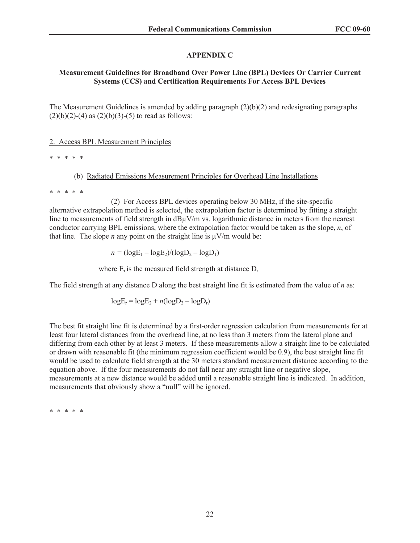## **APPENDIX C**

## **Measurement Guidelines for Broadband Over Power Line (BPL) Devices Or Carrier Current Systems (CCS) and Certification Requirements For Access BPL Devices**

The Measurement Guidelines is amended by adding paragraph  $(2)(b)(2)$  and redesignating paragraphs  $(2)(b)(2)-(4)$  as  $(2)(b)(3)-(5)$  to read as follows:

## 2. Access BPL Measurement Principles

\* \* \* \* \*

## (b) Radiated Emissions Measurement Principles for Overhead Line Installations

\* \* \* \* \*

(2) For Access BPL devices operating below 30 MHz, if the site-specific alternative extrapolation method is selected, the extrapolation factor is determined by fitting a straight line to measurements of field strength in  $dB\mu V/m$  vs. logarithmic distance in meters from the nearest conductor carrying BPL emissions, where the extrapolation factor would be taken as the slope, *n*, of that line. The slope *n* any point on the straight line is  $\mu$ V/m would be:

 $n = (logE_1 - logE_2)/(logD_2 - logD_1)$ 

where  $E_r$  is the measured field strength at distance  $D_r$ 

The field strength at any distance D along the best straight line fit is estimated from the value of *n* as:

$$
logE_r = logE_2 + n(logD_2 - logD_r)
$$

The best fit straight line fit is determined by a first-order regression calculation from measurements for at least four lateral distances from the overhead line, at no less than 3 meters from the lateral plane and differing from each other by at least 3 meters. If these measurements allow a straight line to be calculated or drawn with reasonable fit (the minimum regression coefficient would be 0.9), the best straight line fit would be used to calculate field strength at the 30 meters standard measurement distance according to the equation above. If the four measurements do not fall near any straight line or negative slope, measurements at a new distance would be added until a reasonable straight line is indicated. In addition, measurements that obviously show a "null" will be ignored.

\* \* \* \* \*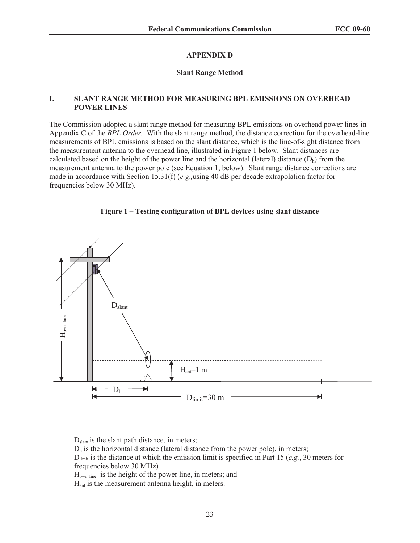#### **APPENDIX D**

#### **Slant Range Method**

#### **I. SLANT RANGE METHOD FOR MEASURING BPL EMISSIONS ON OVERHEAD POWER LINES**

The Commission adopted a slant range method for measuring BPL emissions on overhead power lines in Appendix C of the *BPL Order.* With the slant range method, the distance correction for the overhead-line measurements of BPL emissions is based on the slant distance, which is the line-of-sight distance from the measurement antenna to the overhead line, illustrated in Figure 1 below. Slant distances are calculated based on the height of the power line and the horizontal (lateral) distance  $(D_h)$  from the measurement antenna to the power pole (see Equation 1, below). Slant range distance corrections are made in accordance with Section 15.31(f) (*e.g*.*,*using 40 dB per decade extrapolation factor for frequencies below 30 MHz).

#### **Figure 1 – Testing configuration of BPL devices using slant distance**



D<sub>slant</sub> is the slant path distance, in meters;

 $D<sub>h</sub>$  is the horizontal distance (lateral distance from the power pole), in meters;

 $D_{\text{limit}}$  is the distance at which the emission limit is specified in Part 15 (*e.g.*, 30 meters for frequencies below 30 MHz)

 $H_{\text{pwr line}}$  is the height of the power line, in meters; and Hant is the measurement antenna height, in meters.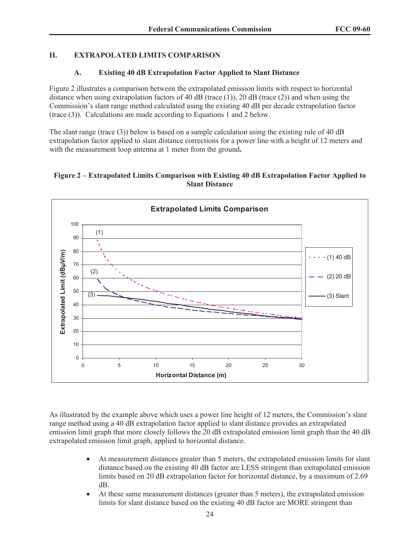## **II. EXTRAPOLATED LIMITS COMPARISON**

## **A. Existing 40 dB Extrapolation Factor Applied to Slant Distance**

Figure 2 illustrates a comparison between the extrapolated emission limits with respect to horizontal distance when using extrapolation factors of 40 dB (trace  $(1)$ ), 20 dB (trace  $(2)$ ) and when using the Commission's slant range method calculated using the existing 40 dB per decade extrapolation factor (trace (3)). Calculations are made according to Equations 1 and 2 below.

The slant range (trace (3)) below is based on a sample calculation using the existing rule of 40 dB extrapolation factor applied to slant distance corrections for a power line with a height of 12 meters and with the measurement loop antenna at 1 meter from the ground**.** 

## **Figure 2 – Extrapolated Limits Comparison with Existing 40 dB Extrapolation Factor Applied to Slant Distance**



As illustrated by the example above which uses a power line height of 12 meters, the Commission's slant range method using a 40 dB extrapolation factor applied to slant distance provides an extrapolated emission limit graph that more closely follows the 20 dB extrapolated emission limit graph than the 40 dB extrapolated emission limit graph, applied to horizontal distance.

- · At measurement distances greater than 5 meters, the extrapolated emission limits for slant distance based on the existing 40 dB factor are LESS stringent than extrapolated emission limits based on 20 dB extrapolation factor for horizontal distance, by a maximum of 2.69 dB.
- · At these same measurement distances (greater than 5 meters), the extrapolated emission limits for slant distance based on the existing 40 dB factor are MORE stringent than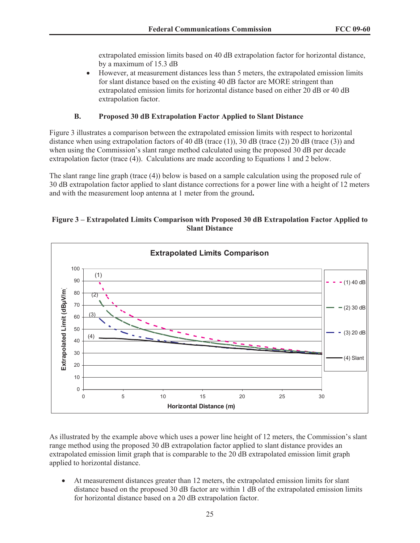extrapolated emission limits based on 40 dB extrapolation factor for horizontal distance, by a maximum of 15.3 dB

· However, at measurement distances less than 5 meters, the extrapolated emission limits for slant distance based on the existing 40 dB factor are MORE stringent than extrapolated emission limits for horizontal distance based on either 20 dB or 40 dB extrapolation factor.

## **B. Proposed 30 dB Extrapolation Factor Applied to Slant Distance**

Figure 3 illustrates a comparison between the extrapolated emission limits with respect to horizontal distance when using extrapolation factors of 40 dB (trace (1)), 30 dB (trace (2)) 20 dB (trace (3)) and when using the Commission's slant range method calculated using the proposed 30 dB per decade extrapolation factor (trace (4)). Calculations are made according to Equations 1 and 2 below.

The slant range line graph (trace (4)) below is based on a sample calculation using the proposed rule of 30 dB extrapolation factor applied to slant distance corrections for a power line with a height of 12 meters and with the measurement loop antenna at 1 meter from the ground**.**

#### **Figure 3 – Extrapolated Limits Comparison with Proposed 30 dB Extrapolation Factor Applied to Slant Distance**



As illustrated by the example above which uses a power line height of 12 meters, the Commission's slant range method using the proposed 30 dB extrapolation factor applied to slant distance provides an extrapolated emission limit graph that is comparable to the 20 dB extrapolated emission limit graph applied to horizontal distance.

· At measurement distances greater than 12 meters, the extrapolated emission limits for slant distance based on the proposed 30 dB factor are within 1 dB of the extrapolated emission limits for horizontal distance based on a 20 dB extrapolation factor.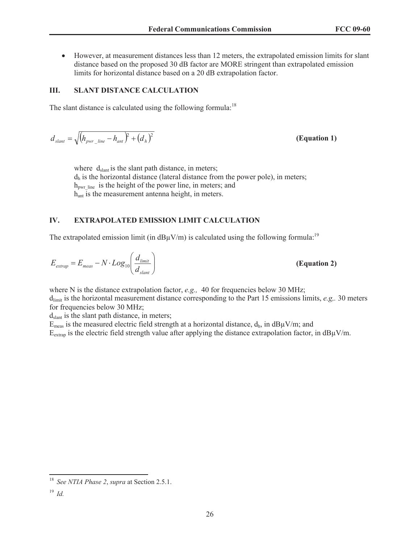· However, at measurement distances less than 12 meters, the extrapolated emission limits for slant distance based on the proposed 30 dB factor are MORE stringent than extrapolated emission limits for horizontal distance based on a 20 dB extrapolation factor.

## **III. SLANT DISTANCE CALCULATION**

The slant distance is calculated using the following formula:<sup>18</sup>

$$
d_{\text{slant}} = \sqrt{\left(h_{\text{pwr}\_\text{line}} - h_{\text{ant}}\right)^2 + \left(d_h\right)^2}
$$
\n(Equation 1)

where  $d_{\text{slant}}$  is the slant path distance, in meters;  $d_h$  is the horizontal distance (lateral distance from the power pole), in meters;  $h_{\text{pwr line}}$  is the height of the power line, in meters; and h<sub>ant</sub> is the measurement antenna height, in meters.

## **IV. EXTRAPOLATED EMISSION LIMIT CALCULATION**

The extrapolated emission limit (in  $dB\mu V/m$ ) is calculated using the following formula:<sup>19</sup>

$$
E_{\text{extrap}} = E_{\text{meas}} - N \cdot Log_{10} \left( \frac{d_{\text{limit}}}{d_{\text{slant}}} \right)
$$

*E E N Log*<sup>10</sup> **(Equation 2)**

where N is the distance extrapolation factor, *e.g.*, 40 for frequencies below 30 MHz;  $d<sub>limit</sub>$  is the horizontal measurement distance corresponding to the Part 15 emissions limits, *e.g.*, 30 meters for frequencies below 30 MHz;

 $d_{\text{slant}}$  is the slant path distance, in meters;

 $E_{meas}$  is the measured electric field strength at a horizontal distance,  $d_h$ , in  $dB\mu V/m$ ; and

 $E_{\text{extrap}}$  is the electric field strength value after applying the distance extrapolation factor, in  $dB\mu V/m$ .

<sup>18</sup> *See NTIA Phase 2*, *supra* at Section 2.5.1.

<sup>19</sup> *Id.*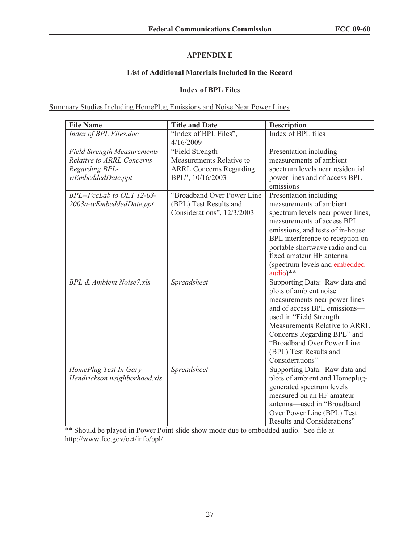## **APPENDIX E**

## **List of Additional Materials Included in the Record**

## **Index of BPL Files**

Summary Studies Including HomePlug Emissions and Noise Near Power Lines

| <b>File Name</b>                                      | <b>Title and Date</b>                                                              | <b>Description</b>                                                                                                                                                                                                                                                                           |
|-------------------------------------------------------|------------------------------------------------------------------------------------|----------------------------------------------------------------------------------------------------------------------------------------------------------------------------------------------------------------------------------------------------------------------------------------------|
| Index of BPL Files.doc                                | "Index of BPL Files",<br>4/16/2009                                                 | Index of BPL files                                                                                                                                                                                                                                                                           |
| <b>Field Strength Measurements</b>                    | "Field Strength                                                                    | Presentation including                                                                                                                                                                                                                                                                       |
| <b>Relative to ARRL Concerns</b>                      | Measurements Relative to                                                           | measurements of ambient                                                                                                                                                                                                                                                                      |
| Regarding BPL-<br>wEmbeddedDate.ppt                   | <b>ARRL Concerns Regarding</b><br>BPL", 10/16/2003                                 | spectrum levels near residential<br>power lines and of access BPL<br>emissions                                                                                                                                                                                                               |
| BPL--FccLab to OET 12-03-<br>2003a-wEmbeddedDate.ppt  | "Broadband Over Power Line<br>(BPL) Test Results and<br>Considerations", 12/3/2003 | Presentation including<br>measurements of ambient<br>spectrum levels near power lines,<br>measurements of access BPL<br>emissions, and tests of in-house<br>BPL interference to reception on<br>portable shortwave radio and on<br>fixed amateur HF antenna<br>(spectrum levels and embedded |
| <b>BPL &amp; Ambient Noise7.xls</b>                   | Spreadsheet                                                                        | audio)**<br>Supporting Data: Raw data and                                                                                                                                                                                                                                                    |
|                                                       |                                                                                    | plots of ambient noise<br>measurements near power lines<br>and of access BPL emissions—<br>used in "Field Strength<br><b>Measurements Relative to ARRL</b><br>Concerns Regarding BPL" and<br>"Broadband Over Power Line<br>(BPL) Test Results and<br>Considerations"                         |
| HomePlug Test In Gary<br>Hendrickson neighborhood.xls | Spreadsheet                                                                        | Supporting Data: Raw data and<br>plots of ambient and Homeplug-<br>generated spectrum levels<br>measured on an HF amateur<br>antenna-used in "Broadband<br>Over Power Line (BPL) Test<br>Results and Considerations"                                                                         |

\*\* Should be played in Power Point slide show mode due to embedded audio. See file at http://www.fcc.gov/oet/info/bpl/.